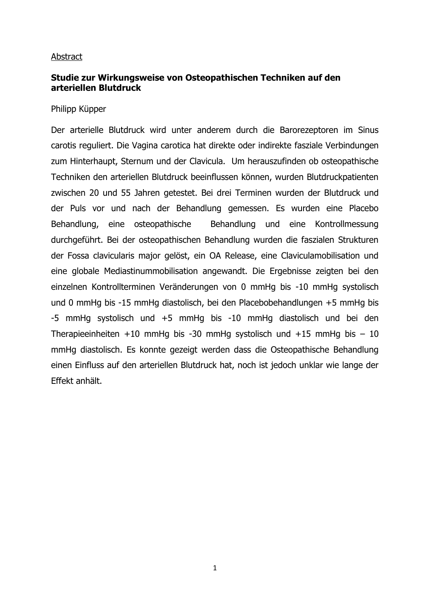#### Abstract

## **Studie zur Wirkungsweise von Osteopathischen Techniken auf den arteriellen Blutdruck**

#### Philipp Küpper

Der arterielle Blutdruck wird unter anderem durch die Barorezeptoren im Sinus carotis reguliert. Die Vagina carotica hat direkte oder indirekte fasziale Verbindungen zum Hinterhaupt, Sternum und der Clavicula. Um herauszufinden ob osteopathische Techniken den arteriellen Blutdruck beeinflussen können, wurden Blutdruckpatienten zwischen 20 und 55 Jahren getestet. Bei drei Terminen wurden der Blutdruck und der Puls vor und nach der Behandlung gemessen. Es wurden eine Placebo Behandlung, eine osteopathische Behandlung und eine Kontrollmessung durchgeführt. Bei der osteopathischen Behandlung wurden die faszialen Strukturen der Fossa clavicularis major gelöst, ein OA Release, eine Claviculamobilisation und eine globale Mediastinummobilisation angewandt. Die Ergebnisse zeigten bei den einzelnen Kontrollterminen Veränderungen von 0 mmHg bis -10 mmHg systolisch und 0 mmHg bis -15 mmHg diastolisch, bei den Placebobehandlungen +5 mmHg bis -5 mmHg systolisch und +5 mmHg bis -10 mmHg diastolisch und bei den Therapieeinheiten +10 mmHg bis -30 mmHg systolisch und +15 mmHg bis  $-10$ mmHg diastolisch. Es konnte gezeigt werden dass die Osteopathische Behandlung einen Einfluss auf den arteriellen Blutdruck hat, noch ist jedoch unklar wie lange der Effekt anhält.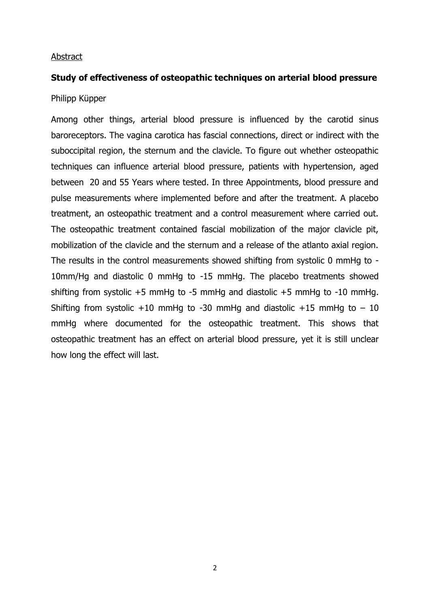#### Abstract

# **Study of effectiveness of osteopathic techniques on arterial blood pressure**

## Philipp Küpper

Among other things, arterial blood pressure is influenced by the carotid sinus baroreceptors. The vagina carotica has fascial connections, direct or indirect with the suboccipital region, the sternum and the clavicle. To figure out whether osteopathic techniques can influence arterial blood pressure, patients with hypertension, aged between 20 and 55 Years where tested. In three Appointments, blood pressure and pulse measurements where implemented before and after the treatment. A placebo treatment, an osteopathic treatment and a control measurement where carried out. The osteopathic treatment contained fascial mobilization of the major clavicle pit, mobilization of the clavicle and the sternum and a release of the atlanto axial region. The results in the control measurements showed shifting from systolic 0 mmHg to - 10mm/Hg and diastolic 0 mmHg to -15 mmHg. The placebo treatments showed shifting from systolic +5 mmHg to -5 mmHg and diastolic +5 mmHg to -10 mmHg. Shifting from systolic +10 mmHg to -30 mmHg and diastolic +15 mmHg to  $-10$ mmHg where documented for the osteopathic treatment. This shows that osteopathic treatment has an effect on arterial blood pressure, yet it is still unclear how long the effect will last.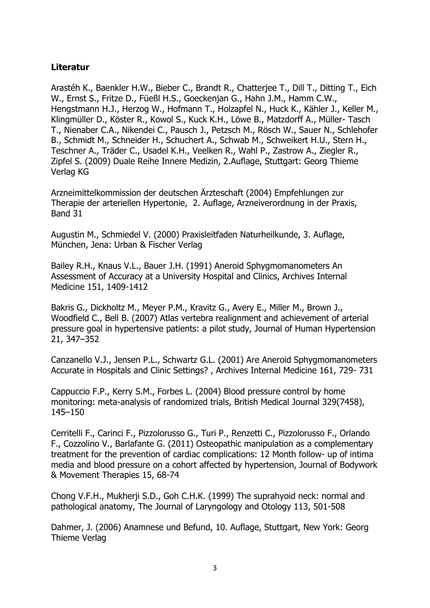# **Literatur**

Arastéh K., Baenkler H.W., Bieber C., Brandt R., Chatterjee T., Dill T., Ditting T., Eich W., Ernst S., Fritze D., Füeßl H.S., Goeckenjan G., Hahn J.M., Hamm C.W., Hengstmann H.J., Herzog W., Hofmann T., Holzapfel N., Huck K., Kähler J., Keller M., Klingmüller D., Köster R., Kowol S., Kuck K.H., Löwe B., Matzdorff A., Müller- Tasch T., Nienaber C.A., Nikendei C., Pausch J., Petzsch M., Rösch W., Sauer N., Schlehofer B., Schmidt M., Schneider H., Schuchert A., Schwab M., Schweikert H.U., Stern H., Teschner A., Träder C., Usadel K.H., Veelken R., Wahl P., Zastrow A., Ziegler R., Zipfel S. (2009) Duale Reihe Innere Medizin, 2.Auflage, Stuttgart: Georg Thieme Verlag KG

Arzneimittelkommission der deutschen Ärzteschaft (2004) Empfehlungen zur Therapie der arteriellen Hypertonie, 2. Auflage, Arzneiverordnung in der Praxis, Band 31

Augustin M., Schmiedel V. (2000) Praxisleitfaden Naturheilkunde, 3. Auflage, München, Jena: Urban & Fischer Verlag

Bailey R.H., Knaus V.L., Bauer J.H. (1991) Aneroid Sphygmomanometers An Assessment of Accuracy at a University Hospital and Clinics, Archives Internal Medicine 151, 1409-1412

Bakris G., Dickholtz M., Meyer P.M., Kravitz G., Avery E., Miller M., Brown J., Woodfield C., Bell B. (2007) Atlas vertebra realignment and achievement of arterial pressure goal in hypertensive patients: a pilot study, Journal of Human Hypertension 21, 347–352

Canzanello V.J., Jensen P.L., Schwartz G.L. (2001) Are Aneroid Sphygmomanometers Accurate in Hospitals and Clinic Settings? , Archives Internal Medicine 161, 729- 731

Cappuccio F.P., Kerry S.M., Forbes L. (2004) Blood pressure control by home monitoring: meta-analysis of randomized trials, British Medical Journal 329(7458), 145–150

Cerritelli F., Carinci F., Pizzolorusso G., Turi P., Renzetti C., Pizzolorusso F., Orlando F., Cozzolino V., Barlafante G. (2011) Osteopathic manipulation as a complementary treatment for the prevention of cardiac complications: 12 Month follow- up of intima media and blood pressure on a cohort affected by hypertension, Journal of Bodywork & Movement Therapies 15, 68-74

Chong V.F.H., Mukherji S.D., Goh C.H.K. (1999) The suprahyoid neck: normal and pathological anatomy, The Journal of Laryngology and Otology 113, 501-508

Dahmer, J. (2006) Anamnese und Befund, 10. Auflage, Stuttgart, New York: Georg Thieme Verlag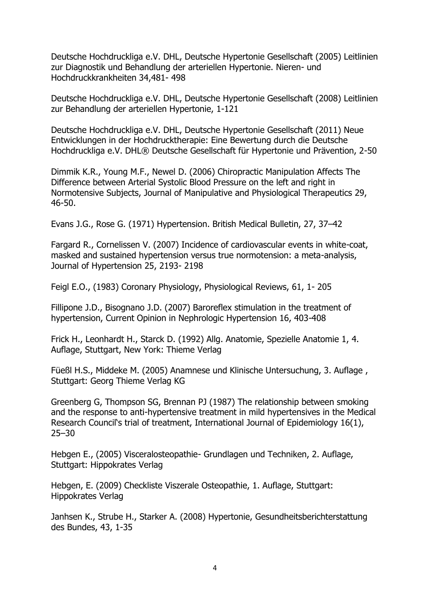Deutsche Hochdruckliga e.V. DHL, Deutsche Hypertonie Gesellschaft (2005) Leitlinien zur Diagnostik und Behandlung der arteriellen Hypertonie. Nieren- und Hochdruckkrankheiten 34,481- 498

Deutsche Hochdruckliga e.V. DHL, Deutsche Hypertonie Gesellschaft (2008) Leitlinien zur Behandlung der arteriellen Hypertonie, 1-121

Deutsche Hochdruckliga e.V. DHL, Deutsche Hypertonie Gesellschaft (2011) Neue Entwicklungen in der Hochdrucktherapie: Eine Bewertung durch die Deutsche Hochdruckliga e.V. DHL® Deutsche Gesellschaft für Hypertonie und Prävention, 2-50

Dimmik K.R., Young M.F., Newel D. (2006) Chiropractic Manipulation Affects The Difference between Arterial Systolic Blood Pressure on the left and right in Normotensive Subjects, Journal of Manipulative and Physiological Therapeutics 29, 46-50.

Evans J.G., Rose G. (1971) Hypertension. British Medical Bulletin, 27, 37–42

Fargard R., Cornelissen V. (2007) Incidence of cardiovascular events in white-coat, masked and sustained hypertension versus true normotension: a meta-analysis, Journal of Hypertension 25, 2193- 2198

Feigl E.O., (1983) Coronary Physiology, Physiological Reviews, 61, 1- 205

Fillipone J.D., Bisognano J.D. (2007) Baroreflex stimulation in the treatment of hypertension, Current Opinion in Nephrologic Hypertension 16, 403-408

Frick H., Leonhardt H., Starck D. (1992) Allg. Anatomie, Spezielle Anatomie 1, 4. Auflage, Stuttgart, New York: Thieme Verlag

Füeßl H.S., Middeke M. (2005) Anamnese und Klinische Untersuchung, 3. Auflage , Stuttgart: Georg Thieme Verlag KG

Greenberg G, Thompson SG, Brennan PJ (1987) The relationship between smoking and the response to anti-hypertensive treatment in mild hypertensives in the Medical Research Council's trial of treatment, International Journal of Epidemiology 16(1), 25–30

Hebgen E., (2005) Visceralosteopathie- Grundlagen und Techniken, 2. Auflage, Stuttgart: Hippokrates Verlag

Hebgen, E. (2009) Checkliste Viszerale Osteopathie, 1. Auflage, Stuttgart: Hippokrates Verlag

Janhsen K., Strube H., Starker A. (2008) Hypertonie, Gesundheitsberichterstattung des Bundes, 43, 1-35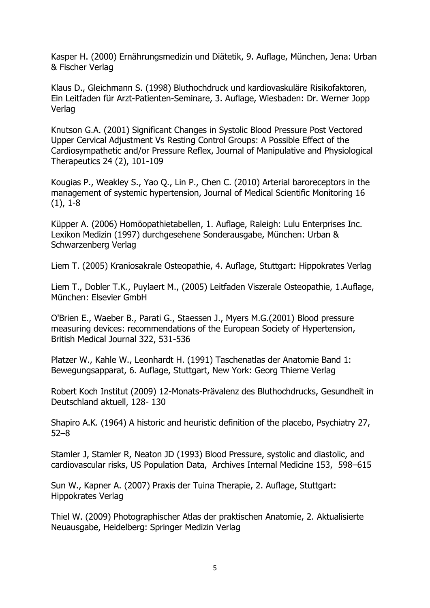Kasper H. (2000) Ernährungsmedizin und Diätetik, 9. Auflage, München, Jena: Urban & Fischer Verlag

Klaus D., Gleichmann S. (1998) Bluthochdruck und kardiovaskuläre Risikofaktoren, Ein Leitfaden für Arzt-Patienten-Seminare, 3. Auflage, Wiesbaden: Dr. Werner Jopp Verlag

Knutson G.A. (2001) Significant Changes in Systolic Blood Pressure Post Vectored Upper Cervical Adjustment Vs Resting Control Groups: A Possible Effect of the Cardiosympathetic and/or Pressure Reflex, Journal of Manipulative and Physiological Therapeutics 24 (2), 101-109

Kougias P., Weakley S., Yao Q., Lin P., Chen C. (2010) Arterial baroreceptors in the management of systemic hypertension, Journal of Medical Scientific Monitoring 16 (1), 1-8

Küpper A. (2006) Homöopathietabellen, 1. Auflage, Raleigh: Lulu Enterprises Inc. Lexikon Medizin (1997) durchgesehene Sonderausgabe, München: Urban & Schwarzenberg Verlag

Liem T. (2005) Kraniosakrale Osteopathie, 4. Auflage, Stuttgart: Hippokrates Verlag

Liem T., Dobler T.K., Puylaert M., (2005) Leitfaden Viszerale Osteopathie, 1.Auflage, München: Elsevier GmbH

O'Brien E., Waeber B., Parati G., Staessen J., Myers M.G.(2001) Blood pressure measuring devices: recommendations of the European Society of Hypertension, British Medical Journal 322, 531-536

Platzer W., Kahle W., Leonhardt H. (1991) Taschenatlas der Anatomie Band 1: Bewegungsapparat, 6. Auflage, Stuttgart, New York: Georg Thieme Verlag

Robert Koch Institut (2009) 12-Monats-Prävalenz des Bluthochdrucks, Gesundheit in Deutschland aktuell, 128- 130

Shapiro A.K. (1964) A historic and heuristic definition of the placebo, Psychiatry 27, 52–8

Stamler J, Stamler R, Neaton JD (1993) Blood Pressure, systolic and diastolic, and cardiovascular risks, US Population Data, Archives Internal Medicine 153, 598–615

Sun W., Kapner A. (2007) Praxis der Tuina Therapie, 2. Auflage, Stuttgart: Hippokrates Verlag

Thiel W. (2009) Photographischer Atlas der praktischen Anatomie, 2. Aktualisierte Neuausgabe, Heidelberg: Springer Medizin Verlag